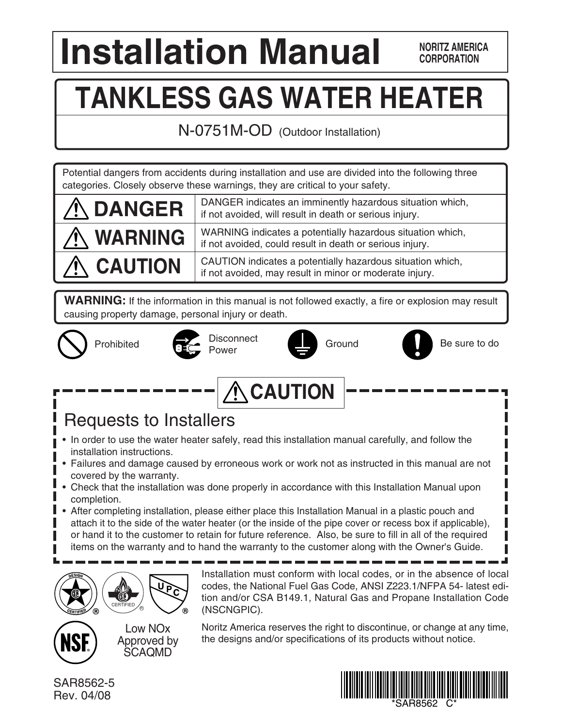# **Installation Manual EXPRESISED ANORITZ AMERIC**

**NORITZ AMERICA**

# **TANKLESS GAS WATER HEATER**

N-0751M-OD (Outdoor Installation)

Potential dangers from accidents during installation and use are divided into the following three categories. Closely observe these warnings, they are critical to your safety.

| <b>A DANGER</b>  | DANGER indicates an imminently hazardous situation which,<br>if not avoided, will result in death or serious injury.   |
|------------------|------------------------------------------------------------------------------------------------------------------------|
| <b>A WARNING</b> | WARNING indicates a potentially hazardous situation which,<br>if not avoided, could result in death or serious injury. |
| A CAUTION        | CAUTION indicates a potentially hazardous situation which,<br>if not avoided, may result in minor or moderate injury.  |

**WARNING:** If the information in this manual is not followed exactly, a fire or explosion may result causing property damage, personal injury or death.





Prohibited **Disconnect** 





Ground Be sure to do



## Requests to Installers

- In order to use the water heater safely, read this installation manual carefully, and follow the installation instructions.
- Failures and damage caused by erroneous work or work not as instructed in this manual are not covered by the warranty.
- Check that the installation was done properly in accordance with this Installation Manual upon completion.
- After completing installation, please either place this Installation Manual in a plastic pouch and attach it to the side of the water heater (or the inside of the pipe cover or recess box if applicable), or hand it to the customer to retain for future reference. Also, be sure to fill in all of the required items on the warranty and to hand the warranty to the customer along with the Owner's Guide.



Installation must conform with local codes, or in the absence of local codes, the National Fuel Gas Code, ANSI Z223.1/NFPA 54- latest edition and/or CSA B149.1, Natural Gas and Propane Installation Code (NSCNGPIC).



Low NOx Approved by SCAQMD

Noritz America reserves the right to discontinue, or change at any time, the designs and/or specifications of its products without notice.

SAR8562-5 Rev. 04/08

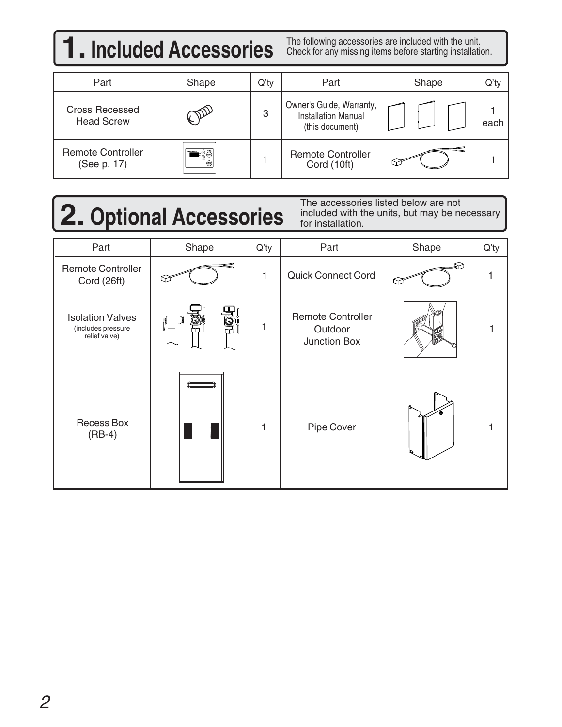## **1. Included Accessories** The following accessories are included with the unit.

Check for any missing items before starting installation.

| Part                                       | Shape | $Q'$ ty | Part                                                                      | Shape | $Q'$ ty |
|--------------------------------------------|-------|---------|---------------------------------------------------------------------------|-------|---------|
| <b>Cross Recessed</b><br><b>Head Screw</b> |       | 3       | Owner's Guide, Warranty,<br><b>Installation Manual</b><br>(this document) |       | each    |
| <b>Remote Controller</b><br>(See p. 17)    | ිලි   |         | <b>Remote Controller</b><br>Cord (10ft)                                   |       |         |

# **2. Optional Accessories**

The accessories listed below are not included with the units, but may be necessary for installation.

| Part                                                           | Shape               | Q'ty | Part                                                | Shape | Q'ty |
|----------------------------------------------------------------|---------------------|------|-----------------------------------------------------|-------|------|
| <b>Remote Controller</b><br>Cord (26ft)                        |                     | 1    | <b>Quick Connect Cord</b>                           |       |      |
| <b>Isolation Valves</b><br>(includes pressure<br>relief valve) |                     | 1    | <b>Remote Controller</b><br>Outdoor<br>Junction Box |       |      |
| <b>Recess Box</b><br>$(RB-4)$                                  | <u>First partie</u> |      | Pipe Cover                                          |       |      |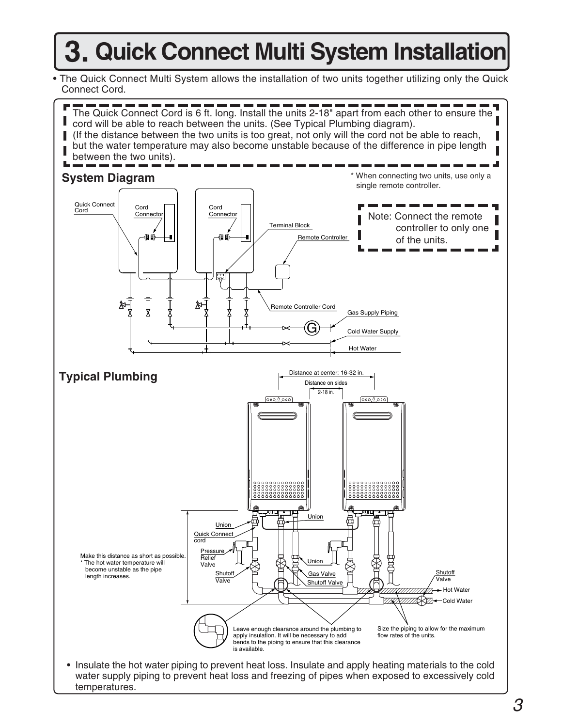## **3. Quick Connect Multi System Installation**

• The Quick Connect Multi System allows the installation of two units together utilizing only the Quick Connect Cord.

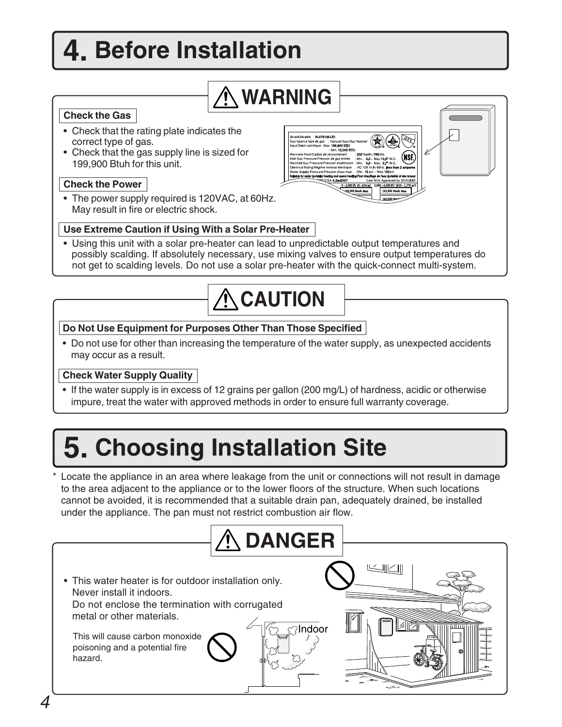## **4. Before Installation**

## **WARNING**

### **Check the Gas**

- Check that the rating plate indicates the correct type of gas.
- Check that the gas supply line is sized for 199,900 Btuh for this unit.

### **Check the Power**

• The power supply required is 120VAC, at 60Hz. May result in fire or electric shock.

### **Use Extreme Caution if Using With a Solar Pre-Heater**

• Using this unit with a solar pre-heater can lead to unpredictable output temperatures and possibly scalding. If absolutely necessary, use mixing valves to ensure output temperatures do not get to scalding levels. Do not use a solar pre-heater with the quick-connect multi-system.

00 Pt. (0 - 610 m)

## $\bigwedge$  CAUTION

### **Do Not Use Equipment for Purposes Other Than Those Specified**

• Do not use for other than increasing the temperature of the water supply, as unexpected accidents may occur as a result.

### **Check Water Supply Quality**

• If the water supply is in excess of 12 grains per gallon (200 mg/L) of hardness, acidic or otherwise impure, treat the water with approved methods in order to ensure full warranty coverage.

## **5. Choosing Installation Site**

\* Locate the appliance in an area where leakage from the unit or connections will not result in damage to the area adjacent to the appliance or to the lower floors of the structure. When such locations cannot be avoided, it is recommended that a suitable drain pan, adequately drained, be installed under the appliance. The pan must not restrict combustion air flow.

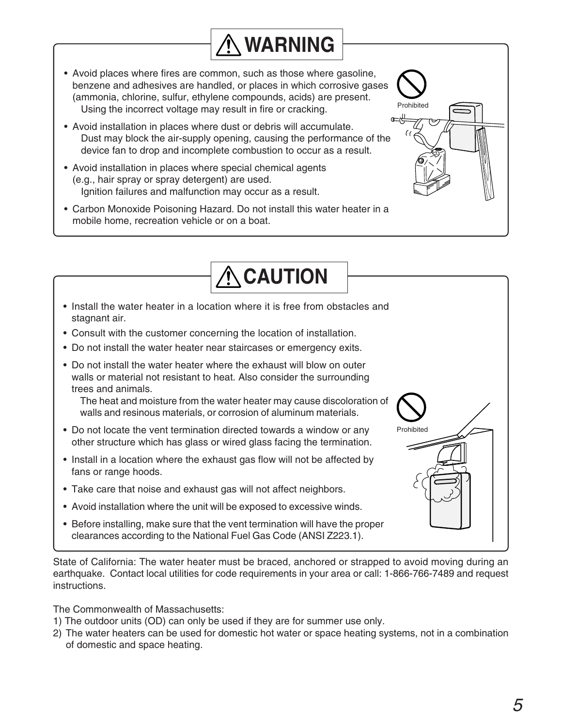• Avoid places where fires are common, such as those where gasoline, benzene and adhesives are handled, or places in which corrosive gases (ammonia, chlorine, sulfur, ethylene compounds, acids) are present. Using the incorrect voltage may result in fire or cracking.

**WARNING**

 $\bigwedge$  CAUTION

Prohibited

**Prohibited** 

- **CCC** • Avoid installation in places where dust or debris will accumulate. Dust may block the air-supply opening, causing the performance of the device fan to drop and incomplete combustion to occur as a result.
- Avoid installation in places where special chemical agents (e.g., hair spray or spray detergent) are used. Ignition failures and malfunction may occur as a result.
- Carbon Monoxide Poisoning Hazard. Do not install this water heater in a mobile home, recreation vehicle or on a boat.
- Install the water heater in a location where it is free from obstacles and stagnant air.
- Consult with the customer concerning the location of installation.
- Do not install the water heater near staircases or emergency exits.
- Do not install the water heater where the exhaust will blow on outer walls or material not resistant to heat. Also consider the surrounding trees and animals.

The heat and moisture from the water heater may cause discoloration of walls and resinous materials, or corrosion of aluminum materials.

- Do not locate the vent termination directed towards a window or any other structure which has glass or wired glass facing the termination.
- Install in a location where the exhaust gas flow will not be affected by fans or range hoods.
- Take care that noise and exhaust gas will not affect neighbors.
- Avoid installation where the unit will be exposed to excessive winds.
- Before installing, make sure that the vent termination will have the proper clearances according to the National Fuel Gas Code (ANSI Z223.1).

State of California: The water heater must be braced, anchored or strapped to avoid moving during an earthquake. Contact local utilities for code requirements in your area or call: 1-866-766-7489 and request instructions.

The Commonwealth of Massachusetts:

- 1) The outdoor units (OD) can only be used if they are for summer use only.
- 2) The water heaters can be used for domestic hot water or space heating systems, not in a combination of domestic and space heating.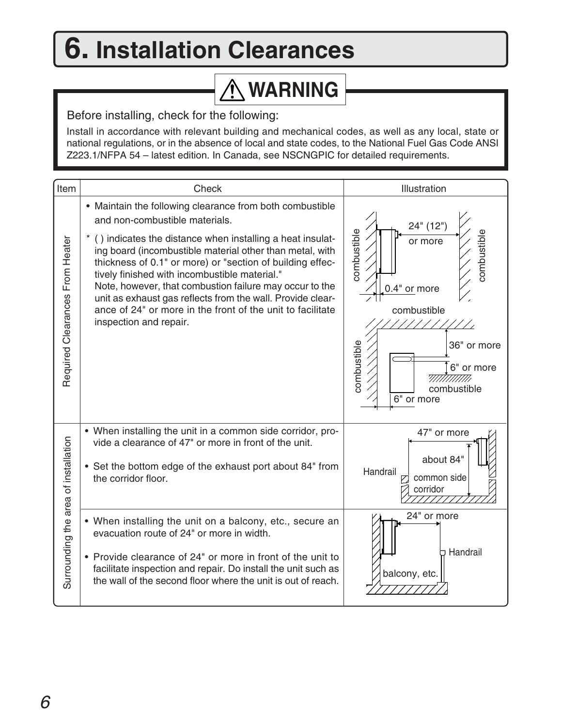## **6. Installation Clearances**

## **WARNING**

Before installing, check for the following:

Install in accordance with relevant building and mechanical codes, as well as any local, state or national regulations, or in the absence of local and state codes, to the National Fuel Gas Code ANSI Z223.1/NFPA 54 – latest edition. In Canada, see NSCNGPIC for detailed requirements.

| Item                                 | Check                                                                                                                                                                                                                                                                                                                                                                                                                                                                                                                                              | Illustration                                                                                                                                                                |
|--------------------------------------|----------------------------------------------------------------------------------------------------------------------------------------------------------------------------------------------------------------------------------------------------------------------------------------------------------------------------------------------------------------------------------------------------------------------------------------------------------------------------------------------------------------------------------------------------|-----------------------------------------------------------------------------------------------------------------------------------------------------------------------------|
| Required Clearances From Heater      | • Maintain the following clearance from both combustible<br>and non-combustible materials.<br>() indicates the distance when installing a heat insulat-<br>ing board (incombustible material other than metal, with<br>thickness of 0.1" or more) or "section of building effec-<br>tively finished with incombustible material."<br>Note, however, that combustion failure may occur to the<br>unit as exhaust gas reflects from the wall. Provide clear-<br>ance of 24" or more in the front of the unit to facilitate<br>inspection and repair. | 24" (12")<br>combustible<br>combustible<br>or more<br>0.4" or more<br>combustible<br>combustible<br>36" or more<br>6" or more<br>7777777777777<br>combustible<br>6" or more |
|                                      | • When installing the unit in a common side corridor, pro-<br>vide a clearance of 47" or more in front of the unit.<br>• Set the bottom edge of the exhaust port about 84" from<br>the corridor floor.                                                                                                                                                                                                                                                                                                                                             | 47" or more<br>about 84'<br>Handrail<br>common side<br>corridor                                                                                                             |
| Surrounding the area of installation | • When installing the unit on a balcony, etc., secure an<br>evacuation route of 24" or more in width.<br>• Provide clearance of 24" or more in front of the unit to<br>facilitate inspection and repair. Do install the unit such as<br>the wall of the second floor where the unit is out of reach.                                                                                                                                                                                                                                               | 24" or more<br>Handrail<br>balcony, etc.                                                                                                                                    |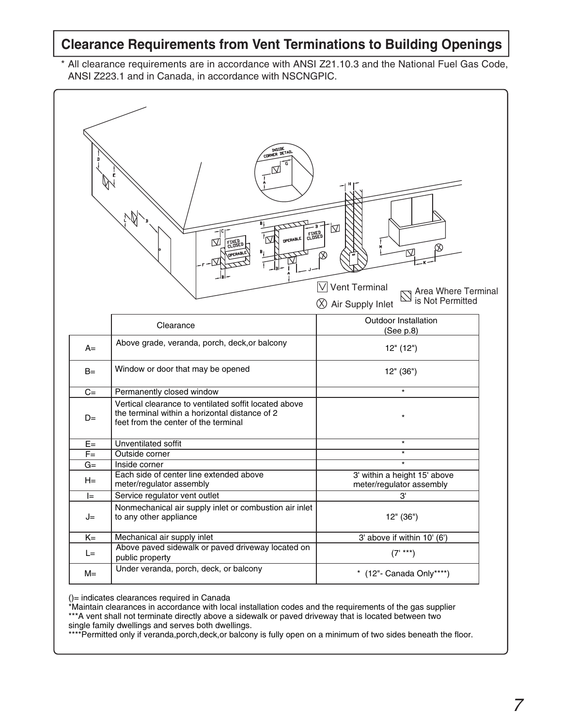### **Clearance Requirements from Vent Terminations to Building Openings**

\* All clearance requirements are in accordance with ANSI Z21.10.3 and the National Fuel Gas Code, ANSI Z223.1 and in Canada, in accordance with NSCNGPIC.



()= indicates clearances required in Canada

\*Maintain clearances in accordance with local installation codes and the requirements of the gas supplier \*\*\*A vent shall not terminate directly above a sidewalk or paved driveway that is located between two single family dwellings and serves both dwellings.

\*\*\*\*Permitted only if veranda,porch,deck,or balcony is fully open on a minimum of two sides beneath the floor.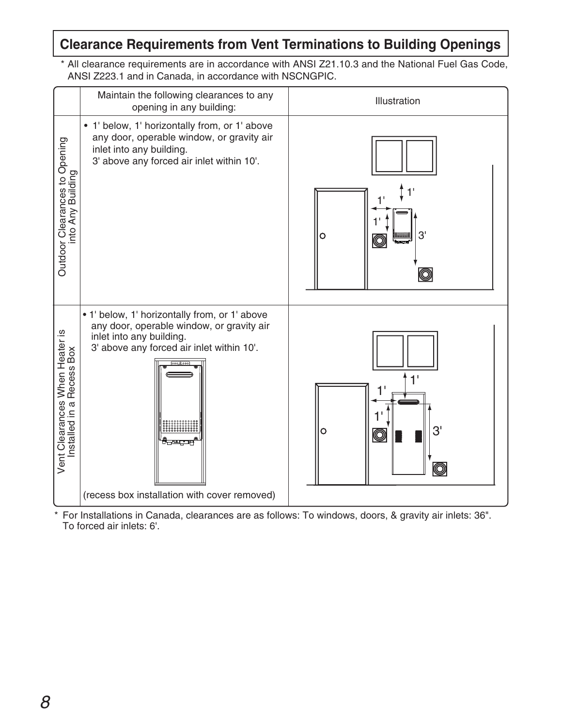## **Clearance Requirements from Vent Terminations to Building Openings**

\* All clearance requirements are in accordance with ANSI Z21.10.3 and the National Fuel Gas Code, ANSI Z223.1 and in Canada, in accordance with NSCNGPIC.

|                                                             | Maintain the following clearances to any<br>opening in any building:                                                                                                                                                         | Illustration                                           |
|-------------------------------------------------------------|------------------------------------------------------------------------------------------------------------------------------------------------------------------------------------------------------------------------------|--------------------------------------------------------|
| Outdoor Clearances to Opening<br>into Any Building          | • 1' below, 1' horizontally from, or 1' above<br>any door, operable window, or gravity air<br>inlet into any building.<br>3' above any forced air inlet within 10'.                                                          | 3'<br>$\circ$<br><b>Hillie State</b><br>$\circledcirc$ |
| Vent Clearances When Heater is<br>Installed in a Recess Box | . 1' below, 1' horizontally from, or 1' above<br>any door, operable window, or gravity air<br>inlet into any building.<br>3' above any forced air inlet within 10'.<br>سمبسب<br>(recess box installation with cover removed) | 3'<br>$\circ$<br>$\circledcirc$<br>$\circledcirc$      |

\* For Installations in Canada, clearances are as follows: To windows, doors, & gravity air inlets: 36". To forced air inlets: 6'.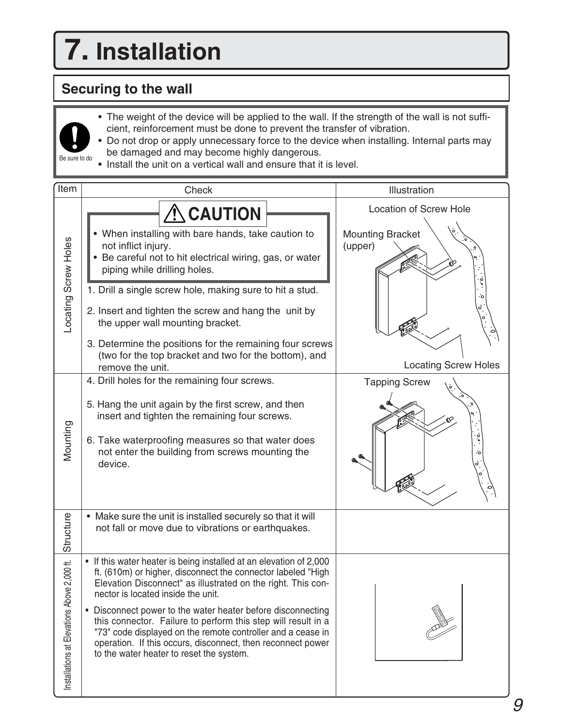# **7. Installation**

## **Securing to the wall**

Be sure to do

- The weight of the device will be applied to the wall. If the strength of the wall is not sufficient, reinforcement must be done to prevent the transfer of vibration.
- • Do not drop or apply unnecessary force to the device when installing. Internal parts may be damaged and may become highly dangerous.
- Install the unit on a vertical wall and ensure that it is level.

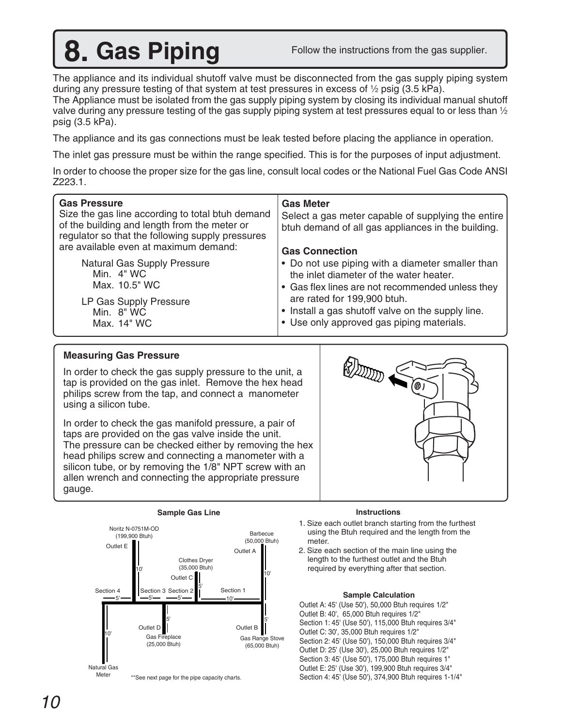## **8. Gas Piping**

Follow the instructions from the gas supplier.

The appliance and its individual shutoff valve must be disconnected from the gas supply piping system during any pressure testing of that system at test pressures in excess of  $\frac{1}{2}$  psig (3.5 kPa).

The Appliance must be isolated from the gas supply piping system by closing its individual manual shutoff valve during any pressure testing of the gas supply piping system at test pressures equal to or less than  $\mathcal V_2$ psig (3.5 kPa).

The appliance and its gas connections must be leak tested before placing the appliance in operation.

The inlet gas pressure must be within the range specified. This is for the purposes of input adjustment.

In order to choose the proper size for the gas line, consult local codes or the National Fuel Gas Code ANSI Z223.1.

| <b>Gas Pressure</b><br>Size the gas line according to total btuh demand<br>of the building and length from the meter or<br>regulator so that the following supply pressures | <b>Gas Meter</b><br>Select a gas meter capable of supplying the entire<br>btuh demand of all gas appliances in the building. |
|-----------------------------------------------------------------------------------------------------------------------------------------------------------------------------|------------------------------------------------------------------------------------------------------------------------------|
| are available even at maximum demand:                                                                                                                                       | <b>Gas Connection</b>                                                                                                        |
| <b>Natural Gas Supply Pressure</b>                                                                                                                                          | • Do not use piping with a diameter smaller than                                                                             |
| Min. $4"$ WC                                                                                                                                                                | the inlet diameter of the water heater.                                                                                      |
| Max. 10.5" WC                                                                                                                                                               | • Gas flex lines are not recommended unless they                                                                             |
| LP Gas Supply Pressure                                                                                                                                                      | are rated for 199,900 btuh.                                                                                                  |
| Min. 8" WC                                                                                                                                                                  | • Install a gas shutoff valve on the supply line.                                                                            |
| Max. 14" WC                                                                                                                                                                 | • Use only approved gas piping materials.                                                                                    |

### **Measuring Gas Pressure**

In order to check the gas supply pressure to the unit, a tap is provided on the gas inlet. Remove the hex head philips screw from the tap, and connect a manometer using a silicon tube.

In order to check the gas manifold pressure, a pair of taps are provided on the gas valve inside the unit. The pressure can be checked either by removing the hex head philips screw and connecting a manometer with a silicon tube, or by removing the 1/8" NPT screw with an allen wrench and connecting the appropriate pressure gauge.



#### **Instructions**

- 1. Size each outlet branch starting from the furthest using the Btuh required and the length from the meter.
- 2. Size each section of the main line using the length to the furthest outlet and the Btuh required by everything after that section.

#### **Sample Calculation**

Outlet A: 45' (Use 50'), 50,000 Btuh requires 1/2" Outlet B: 40', 65,000 Btuh requires 1/2" Section 1: 45' (Use 50'), 115,000 Btuh requires 3/4" Outlet C: 30', 35,000 Btuh requires 1/2" Section 2: 45' (Use 50'), 150,000 Btuh requires 3/4" Outlet D: 25' (Use 30'), 25,000 Btuh requires 1/2" Section 3: 45' (Use 50'), 175,000 Btuh requires 1" Outlet E: 25' (Use 30'), 199,900 Btuh requires 3/4" Section 4: 45' (Use 50'), 374,900 Btuh requires 1-1/4"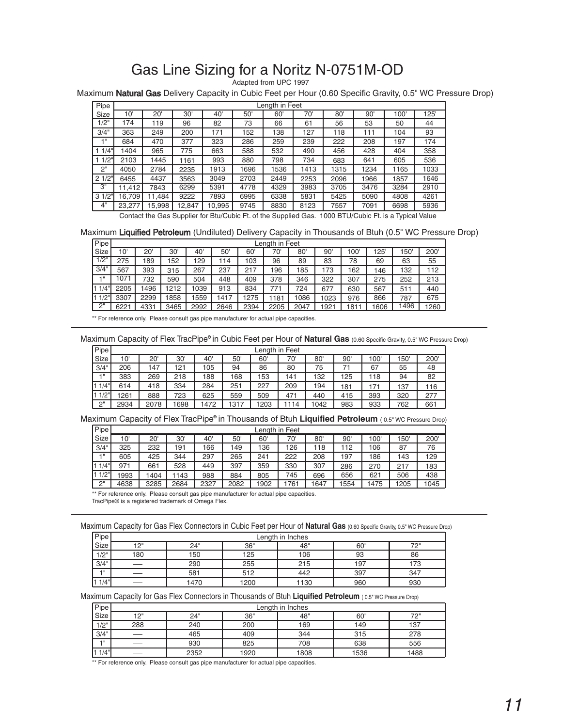### Gas Line Sizing for a Noritz N-0751M-OD

Adapted from UPC 1997

Maximum Natural Gas Delivery Capacity in Cubic Feet per Hour (0.60 Specific Gravity, 0.5" WC Pressure Drop)

| Pipe  | Length in Feet |        |        |        |      |      |      |      |      |      |      |
|-------|----------------|--------|--------|--------|------|------|------|------|------|------|------|
| Size  | 10'            | 20'    | 30'    | 40'    | 50'  | 60'  | 70'  | 80'  | 90'  | 100' | 125' |
| 1/2"  | 174            | 119    | 96     | 82     | 73   | 66   | 61   | 56   | 53   | 50   | 44   |
| 3/4"  | 363            | 249    | 200    | 171    | 152  | 138  | 127  | 118  | 111  | 104  | 93   |
| 4 8   | 684            | 470    | 377    | 323    | 286  | 259  | 239  | 222  | 208  | 197  | 174  |
| 1/4"  | 404            | 965    | 775    | 663    | 588  | 532  | 490  | 456  | 428  | 404  | 358  |
| 1/2"  | 2103           | 1445   | 1161   | 993    | 880  | 798  | 734  | 683  | 641  | 605  | 536  |
| 2"    | 4050           | 2784   | 2235   | 1913   | 1696 | 1536 | 1413 | 1315 | 1234 | 1165 | 1033 |
| 21/2" | 6455           | 4437   | 3563   | 3049   | 2703 | 2449 | 2253 | 2096 | 1966 | 1857 | 1646 |
| 3"    | 11,412         | 7843   | 6299   | 5391   | 4778 | 4329 | 3983 | 3705 | 3476 | 3284 | 2910 |
| 31/2" | 16.709         | 11.484 | 9222   | 7893   | 6995 | 6338 | 5831 | 5425 | 5090 | 4808 | 4261 |
| 4"    | 23,277         | 15,998 | 12,847 | 10,995 | 9745 | 8830 | 8123 | 7557 | 7091 | 6698 | 5936 |

Contact the Gas Supplier for Btu/Cubic Ft. of the Supplied Gas. 1000 BTU/Cubic Ft. is a Typical Value

#### Maximum Liquified Petroleum (Undiluted) Delivery Capacity in Thousands of Btuh (0.5" WC Pressure Drop)

| Pipe    |      | Lenath in Feet |      |       |      |      |      |      |      |      |     |      |      |
|---------|------|----------------|------|-------|------|------|------|------|------|------|-----|------|------|
| Size    | 10'  | 20'            | 30'  | 40'   | 50'  | 60   | 70'  | 80   | 90   | 100' | 125 | 150' | 200  |
| 1/2"    | 275  | 89             | 52   | 129   | 114  | 103  | 96   | 89   | 83   | 78   | 69  | 63   | 55   |
| 3/4"    | 567  | 393            | 315  | 267   | 237  | 217  | 196  | 185  | 173  | 162  | 146 | 132  | 112  |
| -4 11   | 1071 | 732            | 590  | 504   | 448  | 409  | 378  | 346  | 322  | 307  | 275 | 252  | 213  |
| 1/4"    | 2205 | 1496           | 1212 | 039   | 913  | 834  | 771  | 724  | 677  | 630  | 567 | 511  | 440  |
| $1/2$ " | 3307 | 2299           | 1858 | i 559 | 1417 | 275  | 1181 | 086  | 1023 | 976  | 866 | 787  | 675  |
| 2"      | 6221 | 4331           | 3465 | 2992  | 2646 | 2394 | 2205 | 2047 | 1921 | 1811 | 606 | 1496 | 1260 |

\*\* For reference only. Please consult gas pipe manufacturer for actual pipe capacities.

Maximum Capacity of Flex TracPipe® in Cubic Feet per Hour of **Natural Gas** (0.60 Specific Gravity, 0.5" WC Pressure Drop)

| Pipe        | Lenath in Feet |      |      |     |      |      |     |              |     |     |     |     |
|-------------|----------------|------|------|-----|------|------|-----|--------------|-----|-----|-----|-----|
| Size        | 10'            | 20'  | 30'  | 40' | 50'  | 60'  | 70' | $80^{\circ}$ | 90' | 100 | 150 | 200 |
| 3/4"        | 206            | ،47  | 121  | 105 | 94   | 86   | 80  | 75           |     | 67  | 55  | 48  |
| $-1$        | 383            | 269  | 218  | 188 | 168  | 153  | 141 | 132          | 125 | 118 | 94  | 82  |
| 1/4"<br>I1. | 614            | 418  | 334  | 284 | 251  | 227  | 209 | 194          | 181 | 171 | 137 | 116 |
| 1/2"<br>I1  | 1261           | 888  | 723  | 625 | 559  | 509  | 471 | 440          | 415 | 393 | 320 | 277 |
| 2"          | 2934           | 2078 | 1698 | 472 | 1317 | 1203 | 114 | 1042         | 983 | 933 | 762 | 661 |

#### Maximum Capacity of Flex TracPipe® in Thousands of Btuh **Liquified Petroleum** (0.5" WC Pressure Drop)

| Pipe            |      | Lenath in Feet |      |      |      |      |      |                 |      |      |      |      |
|-----------------|------|----------------|------|------|------|------|------|-----------------|------|------|------|------|
| <b>Size</b>     | 10'  | 20'            | 30'  | 40'  | 50'  | 60   | 70'  | 80 <sup>′</sup> | 90   | 100  | 150  | 200  |
| 3/4"            | 325  | 232            | 191  | 66   | 149  | 136  | 126  | 18              | 112  | 106  | 87   | 76   |
| $-1$            | 605  | 425            | 344  | 297  | 265  | 241  | 222  | 208             | 197  | 186  | 143  | 129  |
| $1/4$ "         | 971  | 661            | 528  | 449  | 397  | 359  | 330  | 307             | 286  | 270  | 217  | 183  |
| 1/2"            | 1993 | 404            | 1143 | 988  | 884  | 805  | 745  | 696             | 656  | 621  | 506  | 438  |
| יימ<br><u>_</u> | 4638 | 3285           | 2684 | 2327 | 2082 | 1902 | 761ء | 1647            | 1554 | 1475 | 1205 | 1045 |

\*\* For reference only. Please consult gas pipe manufacturer for actual pipe capacities.

TracPipe® is a registered trademark of Omega Flex.

Maximum Capacity for Gas Flex Connectors in Cubic Feet per Hour of **Natural Gas** (0.60 Specific Gravity, 0.5" WC Pressure Drop)

| Pipe               | Lenath in Inches         |                                 |      |      |     |     |  |  |  |  |  |
|--------------------|--------------------------|---------------------------------|------|------|-----|-----|--|--|--|--|--|
| Size               | 12"                      | 24"<br>フク"<br>48"<br>36"<br>60" |      |      |     |     |  |  |  |  |  |
| 1/2"               | 180                      | 150                             | 125  | 106  | 93  | 86  |  |  |  |  |  |
| 3/4"               |                          | 290                             | 255  | 215  | 197 | 173 |  |  |  |  |  |
| $-1$               |                          | 581                             | 512  | 442  | 397 | 347 |  |  |  |  |  |
| $1/4$ <sup>"</sup> | $\overline{\phantom{0}}$ | 1470                            | 1200 | 1130 | 960 | 930 |  |  |  |  |  |

#### Maximum Capacity for Gas Flex Connectors in Thousands of Btuh **Liquified Petroleum** ( 0.5" WC Pressure Drop)

| Pipe    | Length in Inches |      |      |      |      |      |  |  |  |  |  |
|---------|------------------|------|------|------|------|------|--|--|--|--|--|
| Size    | יי 1 ט           | 24"  | 36"  | 48"  | 60"  | フロ=  |  |  |  |  |  |
| 1/2"    | 288              | 240  | 200  | 169  | 149  | 137  |  |  |  |  |  |
| 3/4"    |                  | 465  | 409  | 344  | 315  | 278  |  |  |  |  |  |
| $-1$    |                  | 930  | 825  | 708  | 638  | 556  |  |  |  |  |  |
| $1/4$ " | –                | 2352 | 1920 | 1808 | 1536 | 1488 |  |  |  |  |  |

\*\* For reference only. Please consult gas pipe manufacturer for actual pipe capacities.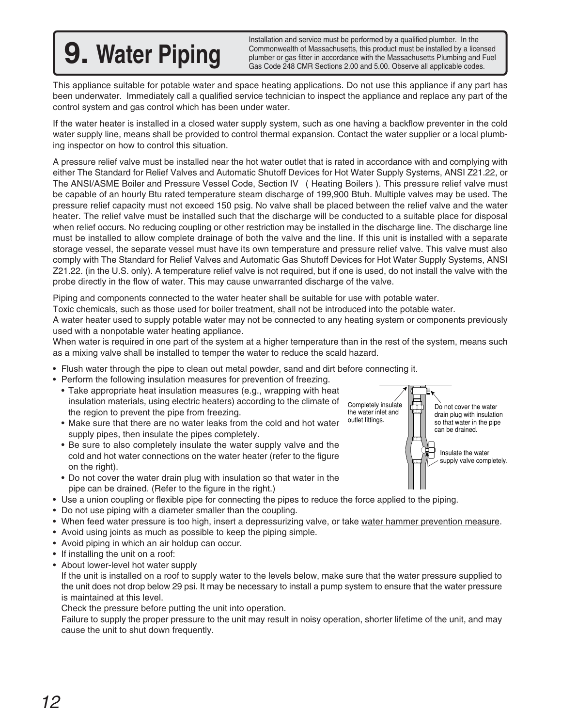# **9. Water Piping**

Installation and service must be performed by a qualified plumber. In the Commonwealth of Massachusetts, this product must be installed by a licensed plumber or gas fitter in accordance with the Massachusetts Plumbing and Fuel Gas Code 248 CMR Sections 2.00 and 5.00. Observe all applicable codes.

This appliance suitable for potable water and space heating applications. Do not use this appliance if any part has been underwater. Immediately call a qualified service technician to inspect the appliance and replace any part of the control system and gas control which has been under water.

If the water heater is installed in a closed water supply system, such as one having a backflow preventer in the cold water supply line, means shall be provided to control thermal expansion. Contact the water supplier or a local plumbing inspector on how to control this situation.

A pressure relief valve must be installed near the hot water outlet that is rated in accordance with and complying with either The Standard for Relief Valves and Automatic Shutoff Devices for Hot Water Supply Systems, ANSI Z21.22, or The ANSI/ASME Boiler and Pressure Vessel Code, Section IV ( Heating Boilers ). This pressure relief valve must be capable of an hourly Btu rated temperature steam discharge of 199,900 Btuh. Multiple valves may be used. The pressure relief capacity must not exceed 150 psig. No valve shall be placed between the relief valve and the water heater. The relief valve must be installed such that the discharge will be conducted to a suitable place for disposal when relief occurs. No reducing coupling or other restriction may be installed in the discharge line. The discharge line must be installed to allow complete drainage of both the valve and the line. If this unit is installed with a separate storage vessel, the separate vessel must have its own temperature and pressure relief valve. This valve must also comply with The Standard for Relief Valves and Automatic Gas Shutoff Devices for Hot Water Supply Systems, ANSI Z21.22. (in the U.S. only). A temperature relief valve is not required, but if one is used, do not install the valve with the probe directly in the flow of water. This may cause unwarranted discharge of the valve.

Piping and components connected to the water heater shall be suitable for use with potable water.

Toxic chemicals, such as those used for boiler treatment, shall not be introduced into the potable water.

A water heater used to supply potable water may not be connected to any heating system or components previously used with a nonpotable water heating appliance.

When water is required in one part of the system at a higher temperature than in the rest of the system, means such as a mixing valve shall be installed to temper the water to reduce the scald hazard.

- Flush water through the pipe to clean out metal powder, sand and dirt before connecting it.
- Perform the following insulation measures for prevention of freezing.
	- Take appropriate heat insulation measures (e.g., wrapping with heat insulation materials, using electric heaters) according to the climate of the region to prevent the pipe from freezing.
	- Make sure that there are no water leaks from the cold and hot water supply pipes, then insulate the pipes completely.
	- Be sure to also completely insulate the water supply valve and the cold and hot water connections on the water heater (refer to the figure on the right).
	- Do not cover the water drain plug with insulation so that water in the pipe can be drained. (Refer to the figure in the right.)
- Use a union coupling or flexible pipe for connecting the pipes to reduce the force applied to the piping.
- Do not use piping with a diameter smaller than the coupling.
- When feed water pressure is too high, insert a depressurizing valve, or take water hammer prevention measure.
- Avoid using joints as much as possible to keep the piping simple.
- Avoid piping in which an air holdup can occur.
- If installing the unit on a roof:
- About lower-level hot water supply

If the unit is installed on a roof to supply water to the levels below, make sure that the water pressure supplied to the unit does not drop below 29 psi. It may be necessary to install a pump system to ensure that the water pressure is maintained at this level.

Check the pressure before putting the unit into operation.

Failure to supply the proper pressure to the unit may result in noisy operation, shorter lifetime of the unit, and may cause the unit to shut down frequently.

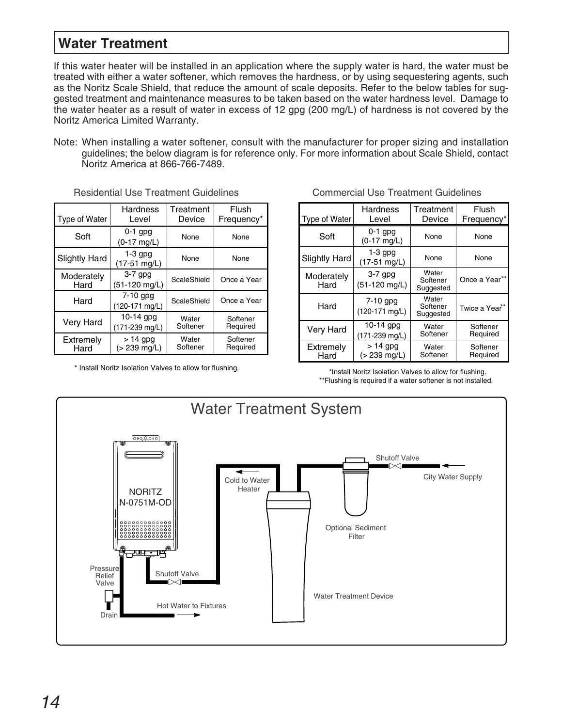### **Water Treatment**

If this water heater will be installed in an application where the supply water is hard, the water must be treated with either a water softener, which removes the hardness, or by using sequestering agents, such as the Noritz Scale Shield, that reduce the amount of scale deposits. Refer to the below tables for suggested treatment and maintenance measures to be taken based on the water hardness level. Damage to the water heater as a result of water in excess of 12 gpg (200 mg/L) of hardness is not covered by the Noritz America Limited Warranty.

Note: When installing a water softener, consult with the manufacturer for proper sizing and installation guidelines; the below diagram is for reference only. For more information about Scale Shield, contact Noritz America at 866-766-7489.

| Type of Water        | <b>Hardness</b><br>Level             | Treatment<br>Device | <b>Flush</b><br>Frequency* | Type of Water      | <b>Hardness</b><br>Level                        | Treatment<br>Device            | Flusl<br>Frequer |
|----------------------|--------------------------------------|---------------------|----------------------------|--------------------|-------------------------------------------------|--------------------------------|------------------|
| Soft                 | $0-1$ gpg<br>(0-17 mg/L)             | None                | None                       | Soft               | $0-1$ gpg<br>$(0-17 \text{ mg/L})$              | None                           | None             |
| <b>Slightly Hard</b> | $1-3$ gpg<br>(17-51 mg/L)            | None                | None                       | Slightly Hard      | $1-3$ gpg<br>$(17-51$ mg/L)                     | None                           | None             |
| Moderately<br>Hard   | $3-7$ gpg<br>$(51-120 \text{ mg/L})$ | ScaleShield         | Once a Year                | Moderately<br>Hard | $3-7$ gpg<br>(51-120 mg/L)                      | Water<br>Softener<br>Suggested | Once a Ye        |
| Hard                 | 7-10 gpg<br>(120-171 mg/L)           | ScaleShield         | Once a Year                | Hard               | 7-10 gpg<br>(120-171 mg/L)                      | Water<br>Softener<br>Suggested | Twice a Y        |
| Very Hard            | $10-14$ gpg<br>(171-239 mg/L)        | Water<br>Softener   | Softener<br>Required       | Very Hard          | $10-14$ gpg                                     | Water<br>Softener              | Soften<br>Requir |
| Extremely<br>Hard    | $>14$ gpg<br>(> 239 mg/L)            | Water<br>Softener   | Softener<br>Required       | Extremely<br>Hard  | (171-239 mg/L)<br>$> 14$ gpg<br>$( > 239$ ma/l) | Water<br>Softener              | Soften<br>Requir |

Residential Use Treatment Guidelines Commercial Use Treatment Guidelines

\* Install Noritz Isolation Valves to allow for flushing.

| <b>Hardness</b><br>Level             | Treatment<br>Device | <b>Flush</b><br>Frequency* | Type of Water        | <b>Hardness</b><br>Level                     | Treatment<br>Device            | Flush<br>Frequency*              |
|--------------------------------------|---------------------|----------------------------|----------------------|----------------------------------------------|--------------------------------|----------------------------------|
| $0-1$ gpg<br>$(0-17 \text{ mg/L})$   | None                | None                       | Soft                 | $0-1$ gpg<br>$(0-17 \text{ mg/L})$           | None                           | None                             |
| $1-3$ gpg<br>$(17-51 \text{ mg/L})$  | None                | None                       | <b>Slightly Hard</b> | $1-3$ gpg<br>(17-51 mg/L)                    | None                           | None                             |
| $3-7$ gpg<br>(51-120 mg/L)           | ScaleShield         | Once a Year                | Moderately<br>Hard   | $3-7$ gpg<br>$(51-120 \text{ mg/L})$         | Water<br>Softener<br>Suggested | Once a Year**                    |
| $7-10$ gpg<br>(120-171 mg/L)         | ScaleShield         | Once a Year                | Hard                 | $7-10$ gpg<br>(120-171 mg/L)                 | Water<br>Softener<br>Suggested | Twice a Year <sup>**</sup>       |
| $10-14$ gpg<br>(171-239 mg/L)        | Water<br>Softener   | Softener<br>Required       | <b>Very Hard</b>     | $10-14$ gpg                                  | Water                          | Softener                         |
| $> 14$ gpg<br>$(> 239 \text{ mg/L})$ | Water<br>Softener   | Softener<br>Required       | Extremely<br>Hard    | (171-239 mg/L)<br>$> 14$ gpg<br>(> 239 mg/L) | Softener<br>Water<br>Softener  | Required<br>Softener<br>Required |

\*Install Noritz Isolation Valves to allow for flushing. \*\*Flushing is required if a water softener is not installed.

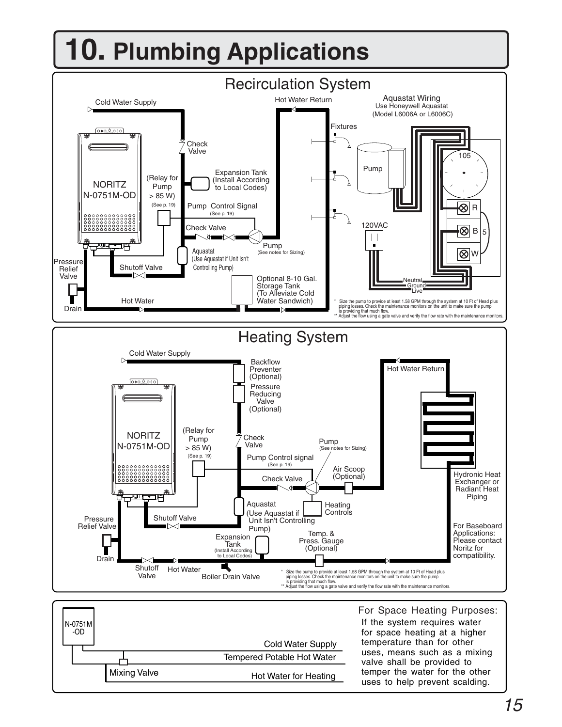# **10. Plumbing Applications**

Mixing Valve



Cold Water Supply

Hot Water for Heating

Tempered Potable Hot Water

for space heating at a higher temperature than for other uses, means such as a mixing valve shall be provided to temper the water for the other uses to help prevent scalding.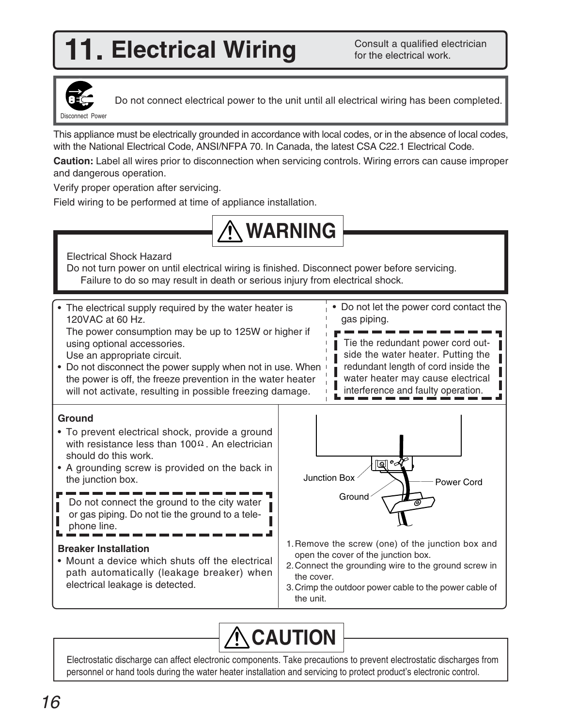## **1. Electrical Wiring Consult a qualified electrical work.**

Consult a qualified electrician



Do not connect electrical power to the unit until all electrical wiring has been completed.

This appliance must be electrically grounded in accordance with local codes, or in the absence of local codes, with the National Electrical Code, ANSI/NFPA 70. In Canada, the latest CSA C22.1 Electrical Code.

**Caution:** Label all wires prior to disconnection when servicing controls. Wiring errors can cause improper and dangerous operation.

Verify proper operation after servicing.

Field wiring to be performed at time of appliance installation.



Electrical Shock Hazard

Do not turn power on until electrical wiring is finished. Disconnect power before servicing. Failure to do so may result in death or serious injury from electrical shock.



Electrostatic discharge can affect electronic components. Take precautions to prevent electrostatic discharges from personnel or hand tools during the water heater installation and servicing to protect product's electronic control.

**CAUTION**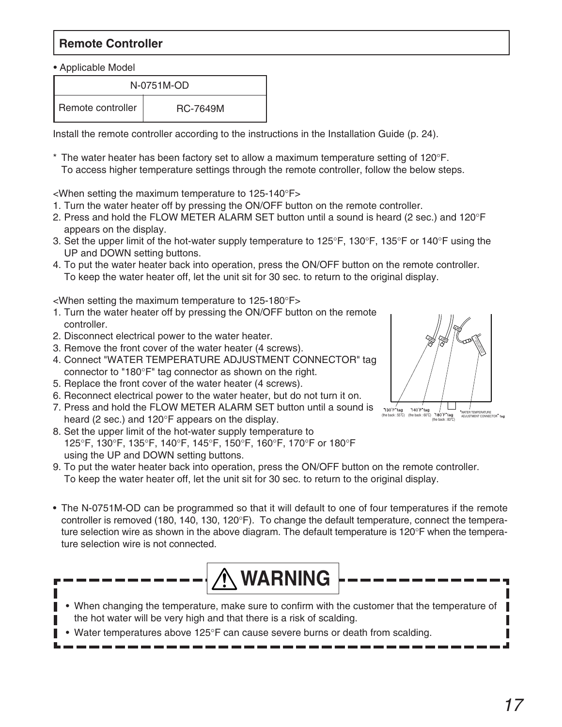### **Remote Controller**

• Applicable Model

|                   | N-0751M-OD      |
|-------------------|-----------------|
| Remote controller | <b>RC-7649M</b> |

Install the remote controller according to the instructions in the Installation Guide (p. 24).

 $^\ast$  The water heater has been factory set to allow a maximum temperature setting of 120°F. To access higher temperature settings through the remote controller, follow the below steps.

<When setting the maximum temperature to 125-140°F>

- 1. Turn the water heater off by pressing the ON/OFF button on the remote controller.
- 2. Press and hold the FLOW METER ALARM SET button until a sound is heard (2 sec.) and 120°F appears on the display.
- 3. Set the upper limit of the hot-water supply temperature to 125°F, 130°F, 135°F or 140°F using the UP and DOWN setting buttons.
- 4. To put the water heater back into operation, press the ON/OFF button on the remote controller. To keep the water heater off, let the unit sit for 30 sec. to return to the original display.

<When setting the maximum temperature to 125-180°F>

- 1. Turn the water heater off by pressing the ON/OFF button on the remote controller.
- 2. Disconnect electrical power to the water heater.
- 3. Remove the front cover of the water heater (4 screws).
- 4. Connect "WATER TEMPERATURE ADJUSTMENT CONNECTOR" tag connector to "180°F" tag connector as shown on the right.
- 5. Replace the front cover of the water heater (4 screws).
- 6. Reconnect electrical power to the water heater, but do not turn it on.
- 7. Press and hold the FLOW METER ALARM SET button until a sound is heard (2 sec.) and 120°F appears on the display.
- 8. Set the upper limit of the hot-water supply temperature to 125°F, 130°F, 135°F, 140°F, 145°F, 150°F, 160°F, 170°F or 180°F using the UP and DOWN setting buttons.
- 9. To put the water heater back into operation, press the ON/OFF button on the remote controller. To keep the water heater off, let the unit sit for 30 sec. to return to the original display.
- The N-0751M-OD can be programmed so that it will default to one of four temperatures if the remote controller is removed (180, 140, 130, 120°F). To change the default temperature, connect the temperature selection wire as shown in the above diagram. The default temperature is 120°F when the temperature selection wire is not connected.



- When changing the temperature, make sure to confirm with the customer that the temperature of the hot water will be very high and that there is a risk of scalding.
- Water temperatures above 125°F can cause severe burns or death from scalding.

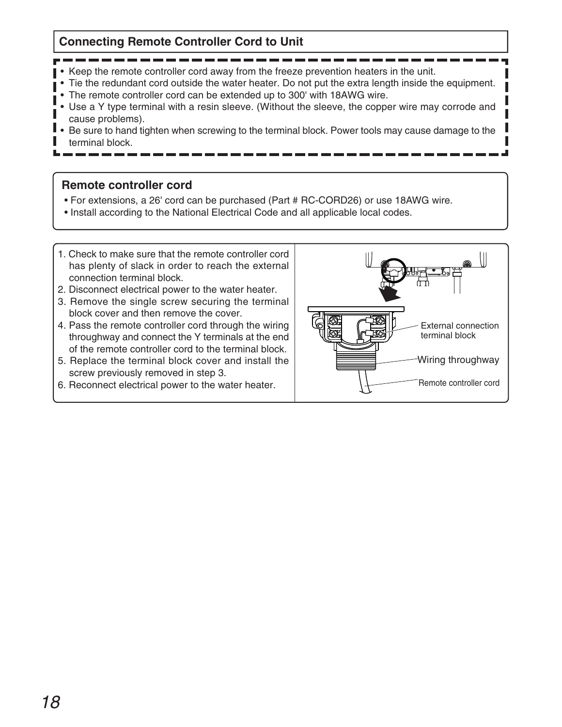### **Connecting Remote Controller Cord to Unit**

- 
- Keep the remote controller cord away from the freeze prevention heaters in the unit.
- Tie the redundant cord outside the water heater. Do not put the extra length inside the equipment.
- The remote controller cord can be extended up to 300' with 18AWG wire.
- Use a Y type terminal with a resin sleeve. (Without the sleeve, the copper wire may corrode and cause problems).
- ı Be sure to hand tighten when screwing to the terminal block. Power tools may cause damage to the •terminal block.

### **Remote controller cord**

- For extensions, a 26' cord can be purchased (Part # RC-CORD26) or use 18AWG wire.
- Install according to the National Electrical Code and all applicable local codes.
- 1. Check to make sure that the remote controller cord has plenty of slack in order to reach the external connection terminal block.
- 2. Disconnect electrical power to the water heater.
- 3. Remove the single screw securing the terminal block cover and then remove the cover.
- 4. Pass the remote controller cord through the wiring throughway and connect the Y terminals at the end of the remote controller cord to the terminal block.
- 5. Replace the terminal block cover and install the screw previously removed in step 3.
- 6. Reconnect electrical power to the water heater.

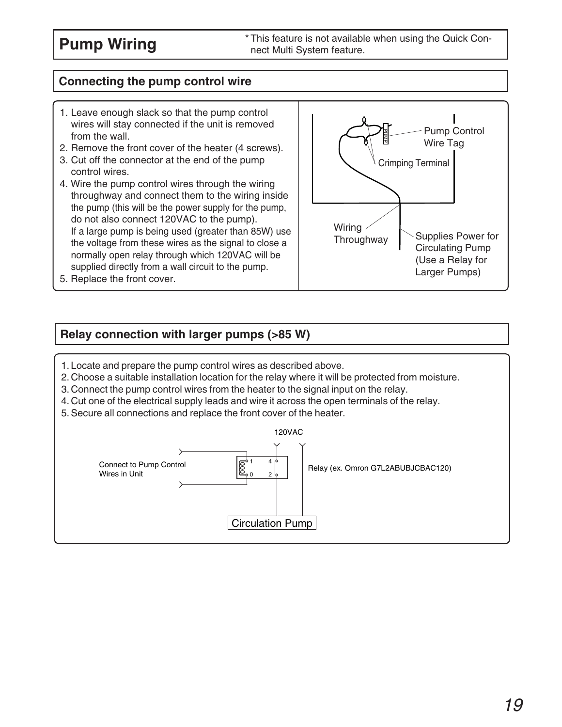### **Connecting the pump control wire**

- 1. Leave enough slack so that the pump control wires will stay connected if the unit is removed from the wall.
- 2. Remove the front cover of the heater (4 screws).
- 3. Cut off the connector at the end of the pump control wires.
- 4. Wire the pump control wires through the wiring throughway and connect them to the wiring inside the pump (this will be the power supply for the pump, do not also connect 120VAC to the pump). If a large pump is being used (greater than 85W) use the voltage from these wires as the signal to close a normally open relay through which 120VAC will be supplied directly from a wall circuit to the pump.
- 5. Replace the front cover.



### **Relay connection with larger pumps (>85 W)**

- 1. Locate and prepare the pump control wires as described above.
- 2. Choose a suitable installation location for the relay where it will be protected from moisture.
- 3. Connect the pump control wires from the heater to the signal input on the relay.
- 4. Cut one of the electrical supply leads and wire it across the open terminals of the relay.
- 5. Secure all connections and replace the front cover of the heater.

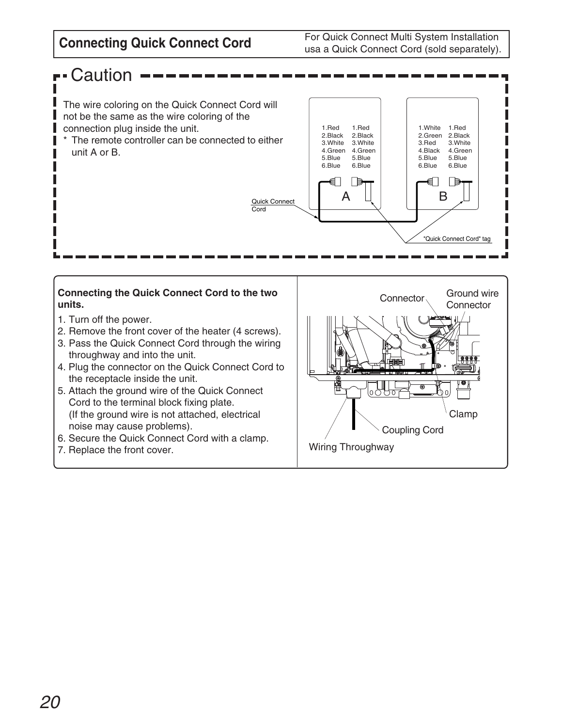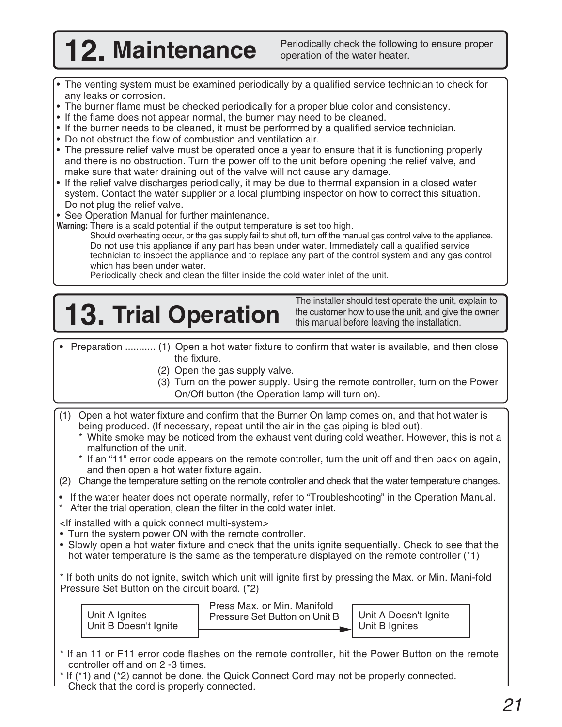- The venting system must be examined periodically by a qualified service technician to check for any leaks or corrosion.
- •The burner flame must be checked periodically for a proper blue color and consistency.
- If the flame does not appear normal, the burner may need to be cleaned.
- If the burner needs to be cleaned, it must be performed by a qualified service technician.
- Do not obstruct the flow of combustion and ventilation air.
- The pressure relief valve must be operated once a year to ensure that it is functioning properly and there is no obstruction. Turn the power off to the unit before opening the relief valve, and make sure that water draining out of the valve will not cause any damage.
- If the relief valve discharges periodically, it may be due to thermal expansion in a closed water system. Contact the water supplier or a local plumbing inspector on how to correct this situation. Do not plug the relief valve.
- See Operation Manual for further maintenance.
- **Warning:** There is a scald potential if the output temperature is set too high.
	- Should overheating occur, or the gas supply fail to shut off, turn off the manual gas control valve to the appliance. Do not use this appliance if any part has been under water. Immediately call a qualified service technician to inspect the appliance and to replace any part of the control system and any gas control which has been under water.

Periodically check and clean the filter inside the cold water inlet of the unit.

# The installer should test operate the unit, explain to<br>this manual before leaving the installation.

the customer how to use the unit, and give the owner this manual before leaving the installation.

- Preparation ........... (1) Open a hot water fixture to confirm that water is available, and then close the fixture.
	- (2) Open the gas supply valve.
	- (3) Turn on the power supply. Using the remote controller, turn on the Power On/Off button (the Operation lamp will turn on).
- (1) Open a hot water fixture and confirm that the Burner On lamp comes on, and that hot water is being produced. (If necessary, repeat until the air in the gas piping is bled out).
	- \* White smoke may be noticed from the exhaust vent during cold weather. However, this is not a malfunction of the unit.
	- \* If an "11" error code appears on the remote controller, turn the unit off and then back on again, and then open a hot water fixture again.
- (2) Change the temperature setting on the remote controller and check that the water temperature changes.
- If the water heater does not operate normally, refer to "Troubleshooting" in the Operation Manual. \* After the trial operation, clean the filter in the cold water inlet.

<If installed with a quick connect multi-system>

- Turn the system power ON with the remote controller.
- Slowly open a hot water fixture and check that the units ignite sequentially. Check to see that the hot water temperature is the same as the temperature displayed on the remote controller (\*1)

\* If both units do not ignite, switch which unit will ignite first by pressing the Max. or Min. Mani-fold Pressure Set Button on the circuit board. (\*2)

| Unit A Ignites        |  |
|-----------------------|--|
| Unit B Doesn't Ignite |  |

Press Max. or Min. Manifold Pressure Set Button on Unit B | Unit A Doesn't Ignite

Unit B Ignites

- \* If an 11 or F11 error code flashes on the remote controller, hit the Power Button on the remote controller off and on 2 -3 times.
- If (\*1) and (\*2) cannot be done, the Quick Connect Cord may not be properly connected. Check that the cord is properly connected.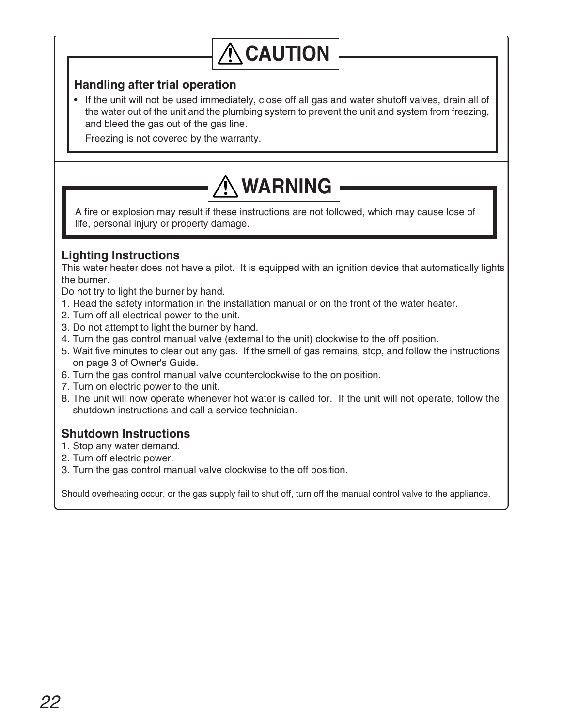## **CAUTION**

### **Handling after trial operation**

• If the unit will not be used immediately, close off all gas and water shutoff valves, drain all of the water out of the unit and the plumbing system to prevent the unit and system from freezing, and bleed the gas out of the gas line.

Freezing is not covered by the warranty.

## **WARNING**

A fire or explosion may result if these instructions are not followed, which may cause lose of life, personal injury or property damage.

### **Lighting Instructions**

This water heater does not have a pilot. It is equipped with an ignition device that automatically lights the burner.

Do not try to light the burner by hand.

- 1. Read the safety information in the installation manual or on the front of the water heater.
- 2. Turn off all electrical power to the unit.
- 3. Do not attempt to light the burner by hand.
- 4. Turn the gas control manual valve (external to the unit) clockwise to the off position.
- 5. Wait five minutes to clear out any gas. If the smell of gas remains, stop, and follow the instructions on page 3 of Owner's Guide.
- 6. Turn the gas control manual valve counterclockwise to the on position.
- 7. Turn on electric power to the unit.
- 8. The unit will now operate whenever hot water is called for. If the unit will not operate, follow the shutdown instructions and call a service technician.

### **Shutdown Instructions**

- 1. Stop any water demand.
- 2. Turn off electric power.
- 3. Turn the gas control manual valve clockwise to the off position.

Should overheating occur, or the gas supply fail to shut off, turn off the manual control valve to the appliance.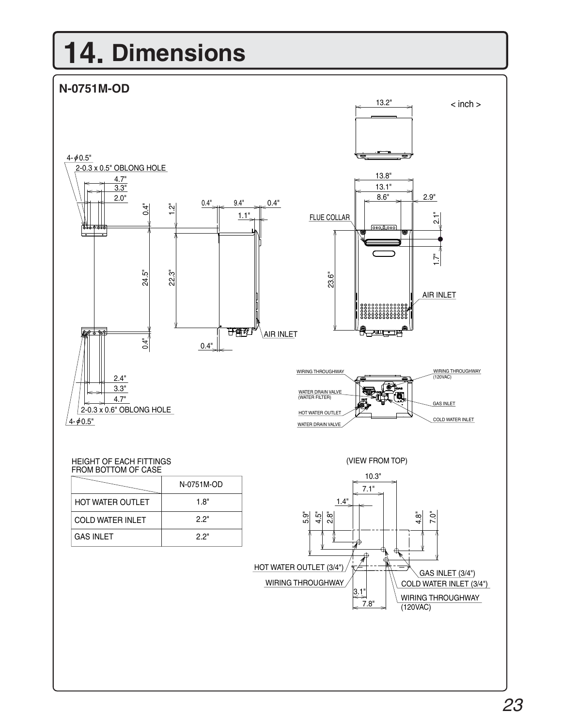# **14. Dimensions**

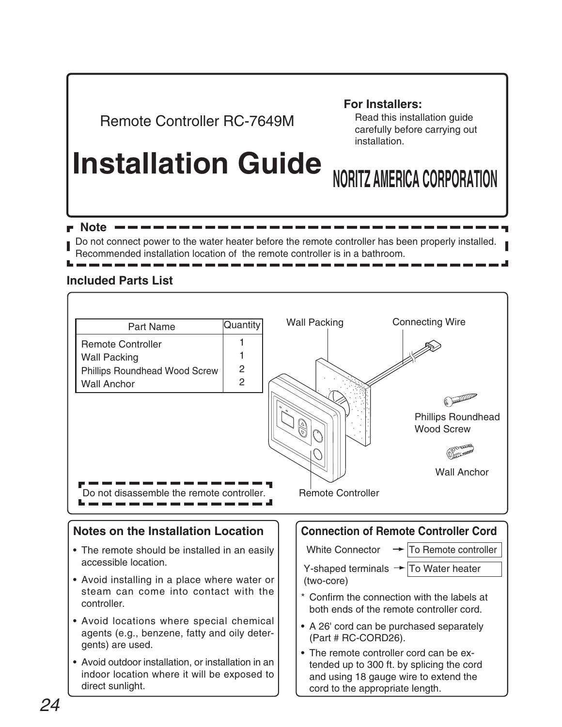## Remote Controller RC-7649M

### **For Installers:**

Read this installation guide carefully before carrying out installation.

## **Installation Guide NORITZ AMERICA CORPORATION**

 $\blacksquare$  Note  $\blacksquare$ Do not connect power to the water heater before the remote controller has been properly installed.

Recommended installation location of the remote controller is in a bathroom.

### **Included Parts List**

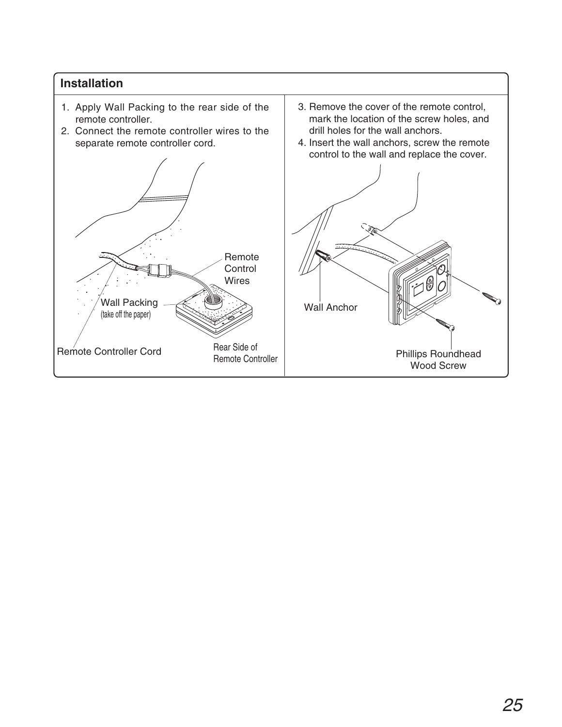